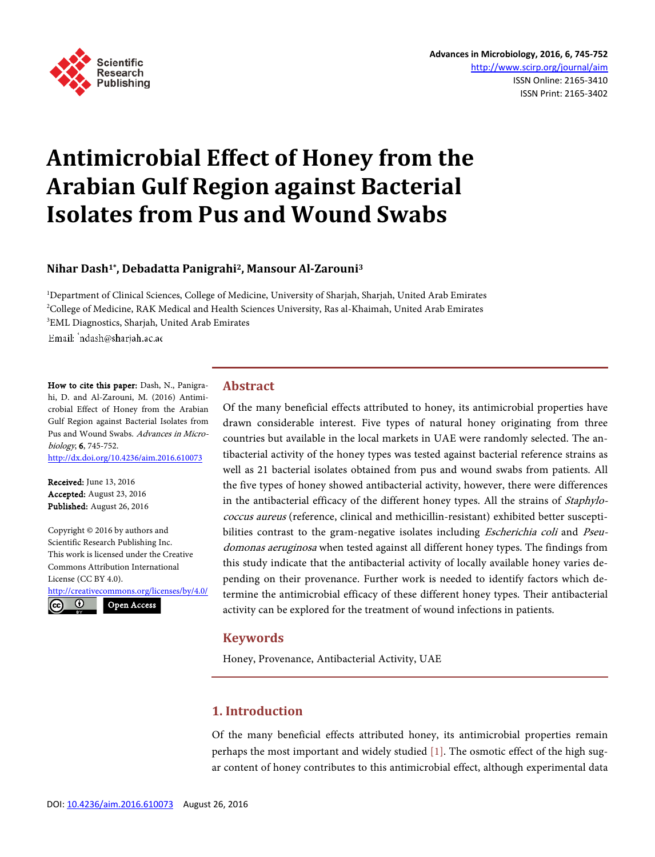

# **Antimicrobial Effect of Honey from the Arabian Gulf Region against Bacterial Isolates from Pus and Wound Swabs**

# **Nihar Dash1\*, Debadatta Panigrahi2, Mansour Al-Zarouni<sup>3</sup>**

<sup>1</sup>Department of Clinical Sciences, College of Medicine, University of Sharjah, Sharjah, United Arab Emirates <sup>2</sup>College of Medicine, RAK Medical and Health Sciences University, Ras al-Khaimah, United Arab Emirates <sup>3</sup>EML Diagnostics, Sharjah, United Arab Emirates

Email: 'ndash@sharjah.ac.ae

How to cite this paper: Dash, N., Panigrahi, D. and Al-Zarouni, M. (2016) Antimicrobial Effect of Honey from the Arabian Gulf Region against Bacterial Isolates from Pus and Wound Swabs. Advances in Microbiology, 6, 745-752. http://dx.doi.org/10.4236/aim.2016.610073

Received: June 13, 2016 Accepted: August 23, 2016 Published: August 26, 2016

Copyright © 2016 by authors and Scientific Research Publishing Inc. This work is licensed under the Creative Commons Attribution International License (CC BY 4.0). http://creativecommons.org/licenses/by/4.0/  $\odot$ Open Access

**Abstract**

Of the many beneficial effects attributed to honey, its antimicrobial properties have drawn considerable interest. Five types of natural honey originating from three countries but available in the local markets in UAE were randomly selected. The antibacterial activity of the honey types was tested against bacterial reference strains as well as 21 bacterial isolates obtained from pus and wound swabs from patients. All the five types of honey showed antibacterial activity, however, there were differences in the antibacterial efficacy of the different honey types. All the strains of *Staphylo*coccus aureus (reference, clinical and methicillin-resistant) exhibited better susceptibilities contrast to the gram-negative isolates including *Escherichia coli* and *Pseu*domonas aeruginosa when tested against all different honey types. The findings from this study indicate that the antibacterial activity of locally available honey varies depending on their provenance. Further work is needed to identify factors which determine the antimicrobial efficacy of these different honey types. Their antibacterial activity can be explored for the treatment of wound infections in patients.

## **Keywords**

Honey, Provenance, Antibacterial Activity, UAE

# **1. Introduction**

Of the many beneficial effects attributed honey, its antimicrobial properties remain perhaps the most important and widely studied [1]. The osmotic effect of the high sugar content of honey contributes to this antimicrobial effect, although experimental data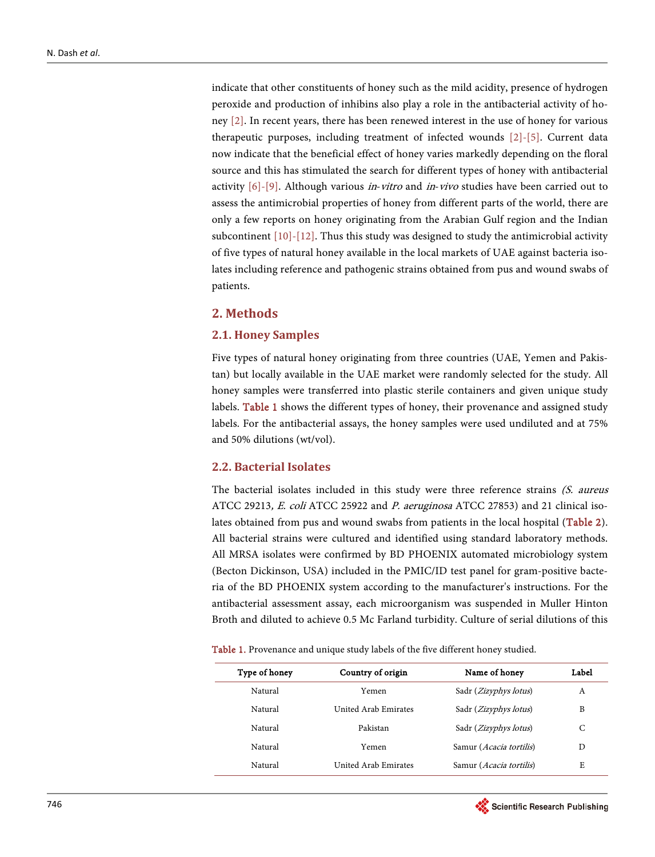indicate that other constituents of honey such as the mild acidity, presence of hydrogen peroxide and production of inhibins also play a role in the antibacterial activity of honey [2]. In recent years, there has been renewed interest in the use of honey for various therapeutic purposes, including treatment of infected wounds [2]-[5]. Current data now indicate that the beneficial effect of honey varies markedly depending on the floral source and this has stimulated the search for different types of honey with antibacterial activity  $[6]-[9]$ . Although various *in-vitro* and *in-vivo* studies have been carried out to assess the antimicrobial properties of honey from different parts of the world, there are only a few reports on honey originating from the Arabian Gulf region and the Indian subcontinent  $[10]-[12]$ . Thus this study was designed to study the antimicrobial activity of five types of natural honey available in the local markets of UAE against bacteria isolates including reference and pathogenic strains obtained from pus and wound swabs of patients.

## **2. Methods**

#### **2.1. Honey Samples**

Five types of natural honey originating from three countries (UAE, Yemen and Pakistan) but locally available in the UAE market were randomly selected for the study. All honey samples were transferred into plastic sterile containers and given unique study labels. Table 1 shows the different types of honey, their provenance and assigned study labels. For the antibacterial assays, the honey samples were used undiluted and at 75% and 50% dilutions (wt/vol).

## **2.2. Bacterial Isolates**

The bacterial isolates included in this study were three reference strains (S. aureus ATCC 29213, E. coli ATCC 25922 and P. aeruginosa ATCC 27853) and 21 clinical isolates obtained from pus and wound swabs from patients in the local hospital (Table 2). All bacterial strains were cultured and identified using standard laboratory methods. All MRSA isolates were confirmed by BD PHOENIX automated microbiology system (Becton Dickinson, USA) included in the PMIC/ID test panel for gram-positive bacteria of the BD PHOENIX system according to the manufacturer's instructions. For the antibacterial assessment assay, each microorganism was suspended in Muller Hinton Broth and diluted to achieve 0.5 Mc Farland turbidity. Culture of serial dilutions of this

Table 1. Provenance and unique study labels of the five different honey studied.

| Type of honey | Country of origin    | Name of honey                    | Label |
|---------------|----------------------|----------------------------------|-------|
| Natural       | Yemen                | Sadr ( <i>Zizyphys lotus</i> )   | A     |
| Natural       | United Arab Emirates | Sadr ( <i>Zizyphys lotus</i> )   | B     |
| Natural       | Pakistan             | Sadr ( <i>Zizyphys lotus</i> )   | С     |
| Natural       | Yemen                | Samur ( <i>Acacia tortilis</i> ) | D     |
| Natural       | United Arab Emirates | Samur ( <i>Acacia tortilis</i> ) | E     |

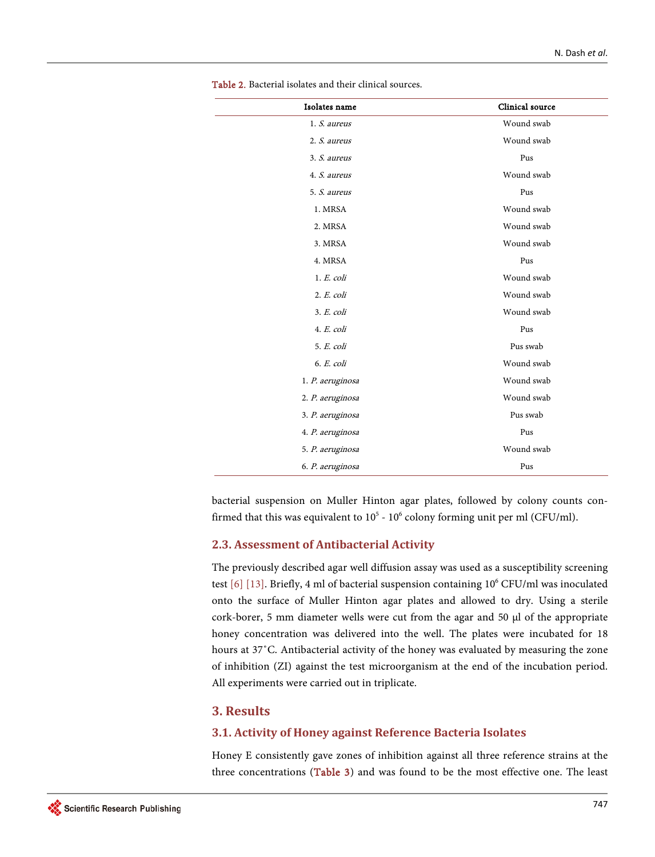| Isolates name    | Clinical source |
|------------------|-----------------|
| 1. S. aureus     | Wound swab      |
| 2. S. aureus     | Wound swab      |
| 3. S. aureus     | Pus             |
| 4. S. aureus     | Wound swab      |
| 5. S. aureus     | Pus             |
| 1. MRSA          | Wound swab      |
| 2. MRSA          | Wound swab      |
| 3. MRSA          | Wound swab      |
| 4. MRSA          | Pus             |
| $1. E.$ coli     | Wound swab      |
| $2. E.$ coli     | Wound swab      |
| 3. E. coli       | Wound swab      |
| 4. E. coli       | Pus             |
| 5. E. coli       | Pus swab        |
| $6. E.$ coli     | Wound swab      |
| 1. P. aeruginosa | Wound swab      |
| 2. P. aeruginosa | Wound swab      |
| 3. P. aeruginosa | Pus swab        |
| 4. P. aeruginosa | Pus             |
| 5. P. aeruginosa | Wound swab      |
| 6. P. aeruginosa | Pus             |

Table 2. Bacterial isolates and their clinical sources.

bacterial suspension on Muller Hinton agar plates, followed by colony counts confirmed that this was equivalent to  $10^5$  -  $10^6$  colony forming unit per ml (CFU/ml).

## **2.3. Assessment of Antibacterial Activity**

The previously described agar well diffusion assay was used as a susceptibility screening test [6] [13]. Briefly, 4 ml of bacterial suspension containing 10<sup>6</sup> CFU/ml was inoculated onto the surface of Muller Hinton agar plates and allowed to dry. Using a sterile cork-borer, 5 mm diameter wells were cut from the agar and 50  $\mu$ l of the appropriate honey concentration was delivered into the well. The plates were incubated for 18 hours at 37˚C. Antibacterial activity of the honey was evaluated by measuring the zone of inhibition (ZI) against the test microorganism at the end of the incubation period. All experiments were carried out in triplicate.

## **3. Results**

#### **3.1. Activity of Honey against Reference Bacteria Isolates**

Honey E consistently gave zones of inhibition against all three reference strains at the three concentrations (Table 3) and was found to be the most effective one. The least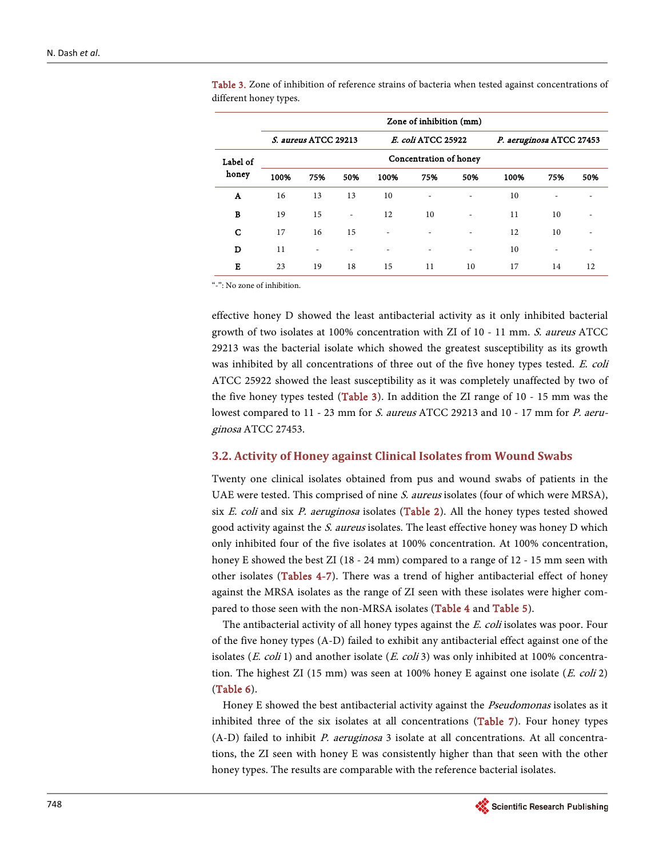|          |      | Zone of inhibition (mm) |                          |      |                    |                        |      |                          |     |  |  |  |  |  |  |  |
|----------|------|-------------------------|--------------------------|------|--------------------|------------------------|------|--------------------------|-----|--|--|--|--|--|--|--|
|          |      | S. aureus ATCC 29213    |                          |      | E. coli ATCC 25922 |                        |      | P. aeruginosa ATCC 27453 |     |  |  |  |  |  |  |  |
| Label of |      |                         |                          |      |                    | Concentration of honey |      |                          |     |  |  |  |  |  |  |  |
| honey    | 100% | 75%                     | 50%                      | 100% | 75%                | 50%                    | 100% | 75%                      | 50% |  |  |  |  |  |  |  |
| A        | 16   | 13                      | 13                       | 10   |                    | ٠                      | 10   |                          |     |  |  |  |  |  |  |  |
| B        | 19   | 15                      | $\overline{\phantom{a}}$ | 12   | 10                 | ٠                      | 11   | 10                       |     |  |  |  |  |  |  |  |
| C        | 17   | 16                      | 15                       |      |                    |                        | 12   | 10                       |     |  |  |  |  |  |  |  |
| D        | 11   |                         |                          |      |                    |                        | 10   |                          |     |  |  |  |  |  |  |  |
| Е        | 23   | 19                      | 18                       | 15   | 11                 | 10                     | 17   | 14                       | 12  |  |  |  |  |  |  |  |

Table 3. Zone of inhibition of reference strains of bacteria when tested against concentrations of different honey types.

"-": No zone of inhibition.

effective honey D showed the least antibacterial activity as it only inhibited bacterial growth of two isolates at 100% concentration with ZI of 10 - 11 mm. S. aureus ATCC 29213 was the bacterial isolate which showed the greatest susceptibility as its growth was inhibited by all concentrations of three out of the five honey types tested. E. coli ATCC 25922 showed the least susceptibility as it was completely unaffected by two of the five honey types tested (Table 3). In addition the ZI range of 10 - 15 mm was the lowest compared to 11 - 23 mm for S. aureus ATCC 29213 and 10 - 17 mm for P. aeruginosa ATCC 27453.

#### **3.2. Activity of Honey against Clinical Isolates from Wound Swabs**

Twenty one clinical isolates obtained from pus and wound swabs of patients in the UAE were tested. This comprised of nine *S. aureus* isolates (four of which were MRSA), six  $E.$  coli and six  $P.$  aeruginosa isolates (Table 2). All the honey types tested showed good activity against the *S. aureus* isolates. The least effective honey was honey D which only inhibited four of the five isolates at 100% concentration. At 100% concentration, honey E showed the best ZI (18 - 24 mm) compared to a range of 12 - 15 mm seen with other isolates (Tables 4-7). There was a trend of higher antibacterial effect of honey against the MRSA isolates as the range of ZI seen with these isolates were higher compared to those seen with the non-MRSA isolates (Table 4 and Table 5).

The antibacterial activity of all honey types against the E. coli isolates was poor. Four of the five honey types (A-D) failed to exhibit any antibacterial effect against one of the isolates (*E. coli* 1) and another isolate (*E. coli* 3) was only inhibited at 100% concentration. The highest ZI (15 mm) was seen at 100% honey E against one isolate  $(E. \text{ coli 2})$ (Table 6).

Honey E showed the best antibacterial activity against the *Pseudomonas* isolates as it inhibited three of the six isolates at all concentrations (Table 7). Four honey types  $(A-D)$  failed to inhibit *P. aeruginosa* 3 isolate at all concentrations. At all concentrations, the ZI seen with honey E was consistently higher than that seen with the other honey types. The results are comparable with the reference bacterial isolates.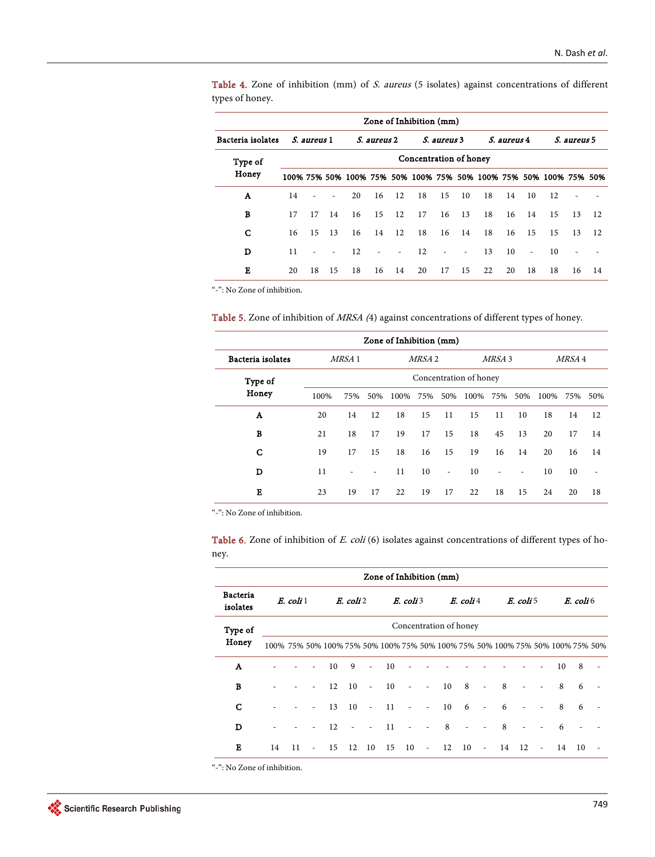Table 4. Zone of inhibition (mm) of S. aureus (5 isolates) against concentrations of different types of honey.

|                   | Zone of Inhibition (mm) |             |      |    |             |        |                                                                  |                          |                          |    |             |                          |             |    |      |
|-------------------|-------------------------|-------------|------|----|-------------|--------|------------------------------------------------------------------|--------------------------|--------------------------|----|-------------|--------------------------|-------------|----|------|
| Bacteria isolates |                         | S. aureus 1 |      |    | S. aureus 2 |        | S. aureus 3                                                      |                          |                          |    | S. aureus 4 |                          | S. aureus 5 |    |      |
| Type of<br>Honey  | Concentration of honey  |             |      |    |             |        |                                                                  |                          |                          |    |             |                          |             |    |      |
|                   |                         |             |      |    |             |        | 100% 75% 50% 100% 75% 50% 100% 75% 50% 100% 75% 50% 100% 75% 50% |                          |                          |    |             |                          |             |    |      |
| A                 | 14                      | ٠           | ٠    | 20 | 16          | 12     | 18                                                               | 15                       | 10                       | 18 | 14          | 10                       | 12          |    |      |
| В                 | 17                      | 17          | 14   | 16 | 15          | 12     | 17                                                               | 16                       | 13                       | 18 | 16          | 14                       | 15          | 13 | - 12 |
| C                 | 16                      | 15          | - 13 | 16 | 14          | 12     | 18                                                               | 16                       | 14                       | 18 | 16          | 15                       | 15          | 13 | 12   |
| D                 | 11                      | ÷,          |      | 12 | ٠           | $\sim$ | 12                                                               | $\overline{\phantom{a}}$ | $\overline{\phantom{a}}$ | 13 | 10          | $\overline{\phantom{a}}$ | 10          |    |      |
| Е                 | 20                      | 18          | -15  | 18 | 16          | 14     | 20                                                               | 17                       | 15                       | 22 | 20          | 18                       | 18          | 16 | 14   |

"-": No Zone of inhibition.

Table 5. Zone of inhibition of MRSA (4) against concentrations of different types of honey.

| Zone of Inhibition (mm) |                        |        |                          |      |        |                          |          |        |                          |              |    |      |  |  |
|-------------------------|------------------------|--------|--------------------------|------|--------|--------------------------|----------|--------|--------------------------|--------------|----|------|--|--|
| Bacteria isolates       |                        | MRSA 1 |                          |      | MRSA 2 |                          |          | MRSA 3 |                          | MRSA 4       |    |      |  |  |
| Type of                 | Concentration of honey |        |                          |      |        |                          |          |        |                          |              |    |      |  |  |
| Honey                   | 100%                   | 75%    | 50%                      | 100% | 75%    | 50%                      | 100% 75% |        |                          | 50% 100% 75% |    | .50% |  |  |
| A                       | 20                     | 14     | 12                       | 18   | 15     | 11                       | 15       | 11     | 10                       | 18           | 14 | 12   |  |  |
| B                       | 21                     | 18     | 17                       | 19   | 17     | 15                       | 18       | 45     | 13                       | 20           | 17 | 14   |  |  |
| C                       | 19                     | 17     | 15                       | 18   | 16     | 15                       | 19       | 16     | 14                       | 20           | 16 | 14   |  |  |
| D                       | 11                     | ٠      | $\overline{\phantom{a}}$ | 11   | 10     | $\overline{\phantom{a}}$ | 10       | ٠      | $\overline{\phantom{0}}$ | 10           | 10 | ٠    |  |  |
| Е                       | 23                     | 19     | 17                       | 22   | 19     | 17                       | 22       | 18     | 15                       | 24           | 20 | 18   |  |  |

"-": No Zone of inhibition.

Table 6. Zone of inhibition of E. coli (6) isolates against concentrations of different types of honey.

|                             | Zone of Inhibition (mm) |    |        |    |    |                          |    |                |                          |                        |             |                          |                                                                               |           |        |    |               |                          |  |
|-----------------------------|-------------------------|----|--------|----|----|--------------------------|----|----------------|--------------------------|------------------------|-------------|--------------------------|-------------------------------------------------------------------------------|-----------|--------|----|---------------|--------------------------|--|
| <b>Bacteria</b><br>isolates | $E.$ coli $1$           |    |        |    |    | E. coli 2                |    |                | $E.$ coli 3              |                        | $E.$ coli 4 |                          |                                                                               | E. coli 5 |        |    | $E.$ coli $6$ |                          |  |
| Type of                     |                         |    |        |    |    |                          |    |                |                          | Concentration of honey |             |                          |                                                                               |           |        |    |               |                          |  |
| Honey                       |                         |    |        |    |    |                          |    |                |                          |                        |             |                          | 100% 75% 50% 100% 75% 50% 100% 75% 50% 100% 75% 50% 100% 75% 50% 100% 75% 50% |           |        |    |               |                          |  |
| A                           |                         |    |        | 10 | 9  | $\overline{\phantom{a}}$ | 10 |                |                          |                        |             |                          |                                                                               |           |        | 10 | 8             |                          |  |
| В                           |                         |    |        | 12 | 10 | $\sim$                   | 10 | $\sim$         | $\overline{\phantom{a}}$ | 10                     | 8           | $\overline{\phantom{a}}$ | 8                                                                             |           |        | 8  | 6             |                          |  |
| С                           |                         |    |        | 13 | 10 | $\overline{\phantom{a}}$ | 11 | $\overline{a}$ | $\overline{\phantom{a}}$ | 10                     | 6           | $\sim$                   | 6                                                                             |           |        | 8  | 6             |                          |  |
| D                           |                         |    |        | 12 | ÷, | $\overline{\phantom{a}}$ | 11 | $\sim$         | $\overline{\phantom{a}}$ | 8                      |             |                          | 8                                                                             |           |        | 6  |               |                          |  |
| E                           | 14                      | 11 | $\sim$ | 15 | 12 | 10                       | 15 | 10             | $\sim 10^7$              | 12                     | 10          | $\mathcal{L}$            | 14 12                                                                         |           | $\sim$ | 14 | 10            | $\overline{\phantom{a}}$ |  |
|                             |                         |    |        |    |    |                          |    |                |                          |                        |             |                          |                                                                               |           |        |    |               |                          |  |

"-": No Zone of inhibition.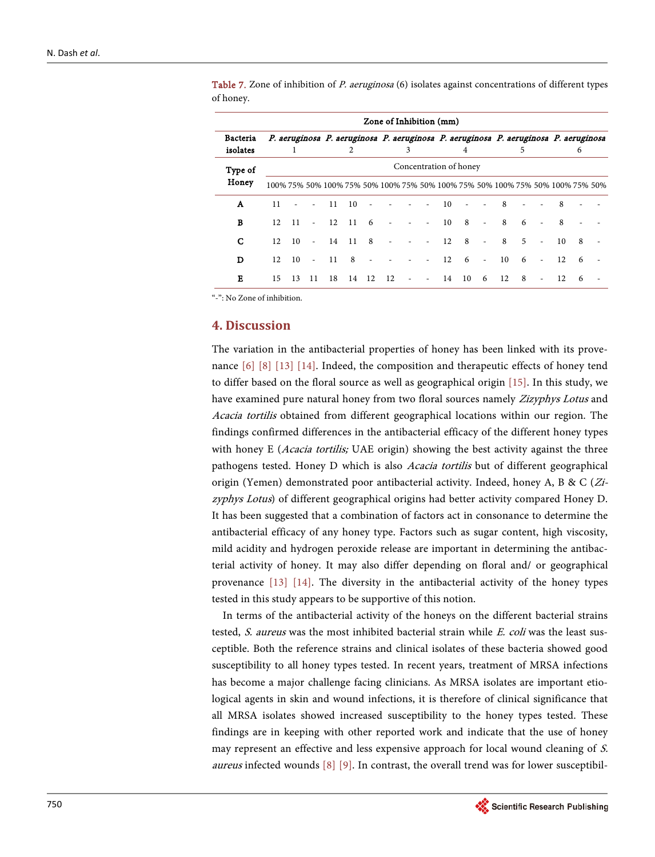|                             | Zone of Inhibition (mm) |                 |        |                 |                 |     |    |   |   |    |     |                          |                                                                                     |                |                          |    |     |  |
|-----------------------------|-------------------------|-----------------|--------|-----------------|-----------------|-----|----|---|---|----|-----|--------------------------|-------------------------------------------------------------------------------------|----------------|--------------------------|----|-----|--|
| <b>Bacteria</b><br>isolates |                         | 1.              |        |                 | 2               |     |    | 3 |   |    | 4   |                          | P. aeruginosa P. aeruginosa P. aeruginosa P. aeruginosa P. aeruginosa P. aeruginosa | 5              |                          |    | 6   |  |
| Type of                     | Concentration of honey  |                 |        |                 |                 |     |    |   |   |    |     |                          |                                                                                     |                |                          |    |     |  |
| Honey                       |                         |                 |        |                 |                 |     |    |   |   |    |     |                          | 100% 75% 50% 100% 75% 50% 100% 75% 50% 100% 75% 50% 100% 75% 50% 100% 75% 50%       |                |                          |    |     |  |
| A                           | 11                      |                 |        | 11              | 10              |     |    |   |   | 10 |     |                          | - 8                                                                                 |                |                          | 8  |     |  |
| B                           | 12.                     | $\overline{11}$ | $\sim$ | $12 \t11$       |                 | 6   |    |   | ٠ | 10 | 8   | $\overline{a}$           | 8                                                                                   | 6              |                          | 8  |     |  |
| С                           | 12.                     | 10              |        | $-14$           | $\overline{11}$ | - 8 |    |   |   | 12 | - 8 | $\overline{\phantom{a}}$ | 8                                                                                   | $\overline{5}$ | ÷.                       | 10 | 8   |  |
| D                           | 12.                     | 10              | $\sim$ | $\overline{11}$ | 8               |     |    |   |   | 12 | 6   | $\overline{\phantom{a}}$ | 10                                                                                  | -6             | $\overline{\phantom{a}}$ | 12 | - 6 |  |
| Е                           | 15                      | 13              | 11     | 18              | 14              | 12  | 12 |   | ٠ | 14 | 10  | 6                        | 12                                                                                  | 8              |                          | 12 | 6   |  |

Table 7. Zone of inhibition of P. aeruginosa (6) isolates against concentrations of different types of honey.

"-": No Zone of inhibition.

## **4. Discussion**

The variation in the antibacterial properties of honey has been linked with its provenance [6] [8] [13] [14]. Indeed, the composition and therapeutic effects of honey tend to differ based on the floral source as well as geographical origin [15]. In this study, we have examined pure natural honey from two floral sources namely Zizyphys Lotus and Acacia tortilis obtained from different geographical locations within our region. The findings confirmed differences in the antibacterial efficacy of the different honey types with honey E (Acacia tortilis; UAE origin) showing the best activity against the three pathogens tested. Honey D which is also Acacia tortilis but of different geographical origin (Yemen) demonstrated poor antibacterial activity. Indeed, honey A, B & C (Zizyphys Lotus) of different geographical origins had better activity compared Honey D. It has been suggested that a combination of factors act in consonance to determine the antibacterial efficacy of any honey type. Factors such as sugar content, high viscosity, mild acidity and hydrogen peroxide release are important in determining the antibacterial activity of honey. It may also differ depending on floral and/ or geographical provenance [13] [14]. The diversity in the antibacterial activity of the honey types tested in this study appears to be supportive of this notion.

In terms of the antibacterial activity of the honeys on the different bacterial strains tested, S. aureus was the most inhibited bacterial strain while  $E$ . coli was the least susceptible. Both the reference strains and clinical isolates of these bacteria showed good susceptibility to all honey types tested. In recent years, treatment of MRSA infections has become a major challenge facing clinicians. As MRSA isolates are important etiological agents in skin and wound infections, it is therefore of clinical significance that all MRSA isolates showed increased susceptibility to the honey types tested. These findings are in keeping with other reported work and indicate that the use of honey may represent an effective and less expensive approach for local wound cleaning of S. *aureus* infected wounds  $[8]$  [9]. In contrast, the overall trend was for lower susceptibil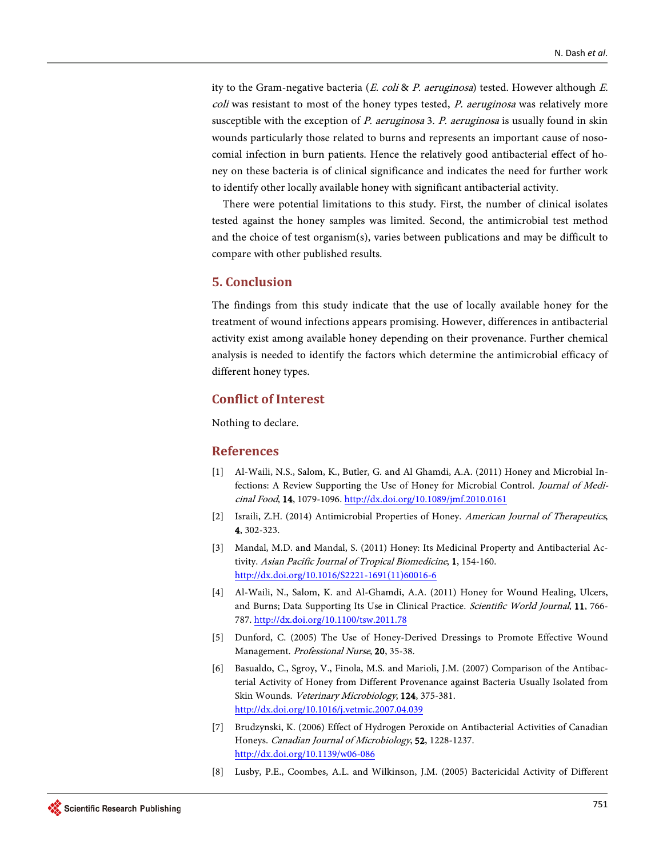ity to the Gram-negative bacteria (*E. coli & P. aeruginosa*) tested. However although *E.* coli was resistant to most of the honey types tested, *P. aeruginosa* was relatively more susceptible with the exception of  $P$ . aeruginosa 3.  $P$ . aeruginosa is usually found in skin wounds particularly those related to burns and represents an important cause of nosocomial infection in burn patients. Hence the relatively good antibacterial effect of honey on these bacteria is of clinical significance and indicates the need for further work to identify other locally available honey with significant antibacterial activity.

There were potential limitations to this study. First, the number of clinical isolates tested against the honey samples was limited. Second, the antimicrobial test method and the choice of test organism(s), varies between publications and may be difficult to compare with other published results.

# **5. Conclusion**

The findings from this study indicate that the use of locally available honey for the treatment of wound infections appears promising. However, differences in antibacterial activity exist among available honey depending on their provenance. Further chemical analysis is needed to identify the factors which determine the antimicrobial efficacy of different honey types.

# **Conflict of Interest**

Nothing to declare.

## **References**

- [1] Al-Waili, N.S., Salom, K., Butler, G. and Al Ghamdi, A.A. (2011) Honey and Microbial Infections: A Review Supporting the Use of Honey for Microbial Control. Journal of Medicinal Food, 14, 1079-1096. http://dx.doi.org/10.1089/jmf.2010.0161
- [2] Israili, Z.H. (2014) Antimicrobial Properties of Honey. American Journal of Therapeutics, 4, 302-323.
- [3] Mandal, M.D. and Mandal, S. (2011) Honey: Its Medicinal Property and Antibacterial Activity. Asian Pacific Journal of Tropical Biomedicine, 1, 154-160. http://dx.doi.org/10.1016/S2221-1691(11)60016-6
- [4] Al-Waili, N., Salom, K. and Al-Ghamdi, A.A. (2011) Honey for Wound Healing, Ulcers, and Burns; Data Supporting Its Use in Clinical Practice. Scientific World Journal, 11, 766- 787. http://dx.doi.org/10.1100/tsw.2011.78
- [5] Dunford, C. (2005) The Use of Honey-Derived Dressings to Promote Effective Wound Management. Professional Nurse, 20, 35-38.
- [6] Basualdo, C., Sgroy, V., Finola, M.S. and Marioli, J.M. (2007) Comparison of the Antibacterial Activity of Honey from Different Provenance against Bacteria Usually Isolated from Skin Wounds. Veterinary Microbiology, 124, 375-381. http://dx.doi.org/10.1016/j.vetmic.2007.04.039
- [7] Brudzynski, K. (2006) Effect of Hydrogen Peroxide on Antibacterial Activities of Canadian Honeys. Canadian Journal of Microbiology, 52, 1228-1237. http://dx.doi.org/10.1139/w06-086
- [8] Lusby, P.E., Coombes, A.L. and Wilkinson, J.M. (2005) Bactericidal Activity of Different